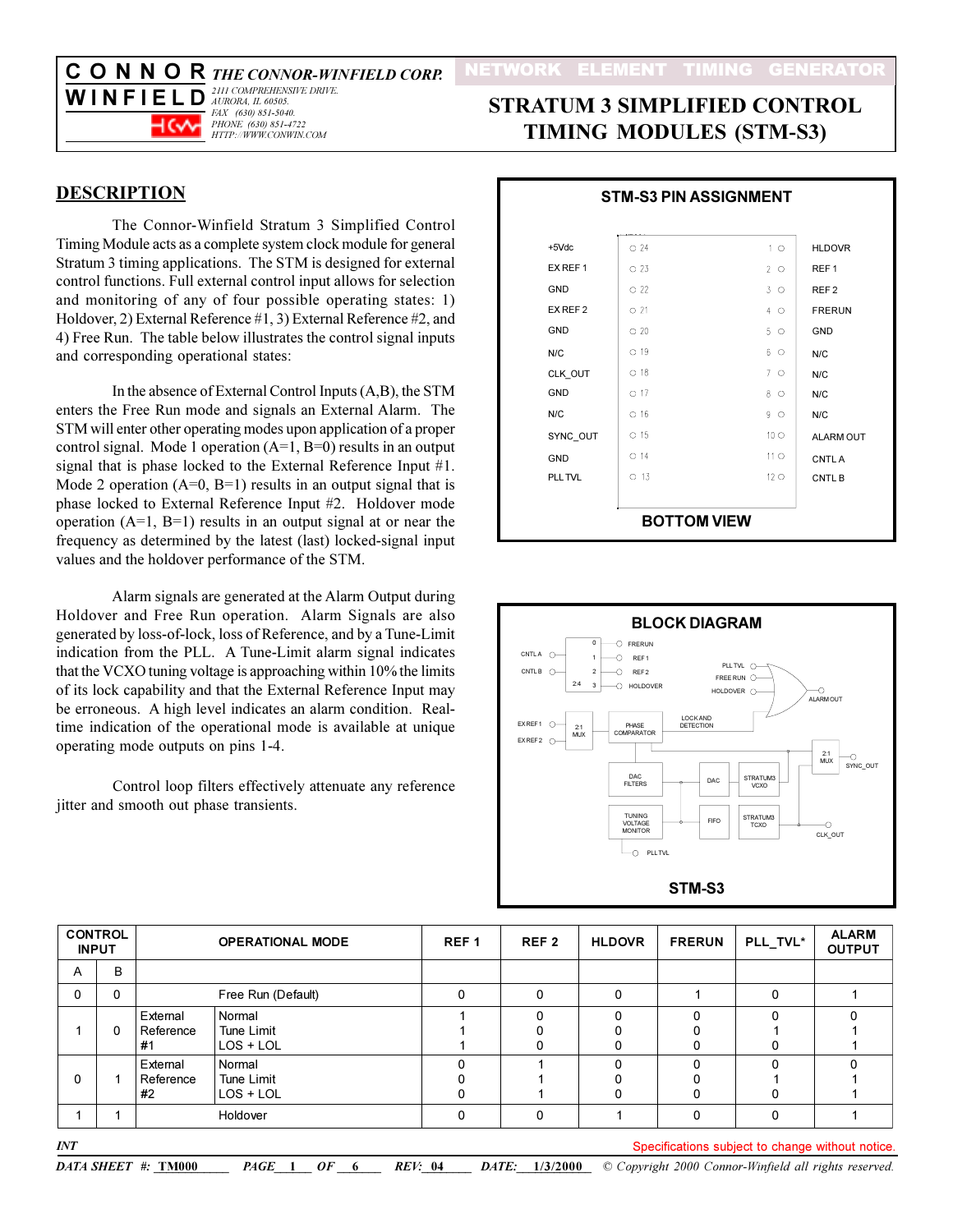C O N N O R THE CONNOR-WINFIELD CORP. 2111 COMPREHENSIVE DRIVE.



FAX (630) 851-5040.<br>PHONE (630) 851-4722 HTTP://WWW.CONWIN.COM

# **STRATUM 3 SIMPLIFIED CONTROL TIMING MODULES (STM-S3)**

#### **DESCRIPTION**

The Connor-Winfield Stratum 3 Simplified Control Timing Module acts as a complete system clock module for general Stratum 3 timing applications. The STM is designed for external control functions. Full external control input allows for selection and monitoring of any of four possible operating states: 1) Holdover, 2) External Reference #1, 3) External Reference #2, and 4) Free Run. The table below illustrates the control signal inputs and corresponding operational states:

In the absence of External Control Inputs (A,B), the STM enters the Free Run mode and signals an External Alarm. The STM will enter other operating modes upon application of a proper control signal. Mode 1 operation  $(A=1, B=0)$  results in an output signal that is phase locked to the External Reference Input #1. Mode 2 operation  $(A=0, B=1)$  results in an output signal that is phase locked to External Reference Input #2. Holdover mode operation  $(A=1, B=1)$  results in an output signal at or near the frequency as determined by the latest (last) locked-signal input values and the holdover performance of the STM.

Alarm signals are generated at the Alarm Output during Holdover and Free Run operation. Alarm Signals are also generated by loss-of-lock, loss of Reference, and by a Tune-Limit indication from the PLL. A Tune-Limit alarm signal indicates that the VCXO tuning voltage is approaching within 10% the limits of its lock capability and that the External Reference Input may be erroneous. A high level indicates an alarm condition. Realtime indication of the operational mode is available at unique operating mode outputs on pins 1-4.

Control loop filters effectively attenuate any reference jitter and smooth out phase transients.

|            | <b>STM-S3 PIN ASSIGNMENT</b> |                 |                   |
|------------|------------------------------|-----------------|-------------------|
| $+5$ Vdc   | $\Omega$ 24                  | 1 <sub>O</sub>  | <b>HLDOVR</b>     |
| EX REF 1   | $\circ$ 23                   | $2^{\circ}$     | REF <sub>1</sub>  |
| GND        | $\Omega$ 22                  | $3^\circ$       | REF <sub>2</sub>  |
| EX REF 2   | $\circ$ 21                   | $4^\circ$       | <b>FRERUN</b>     |
| <b>GND</b> | $\circ$ 20                   | $5^\circ$       | <b>GND</b>        |
| N/C        | $O$ 19                       | 60              | N/C               |
| CLK OUT    | $\circ$ 18                   | $7^\circ$       | N/C               |
| <b>GND</b> | $\Omega$ 17                  | 8 0             | N/C               |
| N/C        | $\circ$ 16                   | $9^\circ$       | N/C               |
| SYNC OUT   | $O$ 15                       | 10 <sub>O</sub> | <b>ALARM OUT</b>  |
| <b>GND</b> | $O$ 14                       | 11 <sub>O</sub> | CNTL A            |
| PLL TVL    | $O$ 13                       | $12^\circ$      | CNTL <sub>B</sub> |
|            |                              |                 |                   |
|            | <b>BOTTOM VIEW</b>           |                 |                   |



| <b>INPUT</b>   | <b>CONTROL</b> |                             | <b>OPERATIONAL MODE</b>             | REF <sub>1</sub> | REF <sub>2</sub> | <b>HLDOVR</b> | <b>FRERUN</b> | PLL_TVL*                                        | <b>ALARM</b><br><b>OUTPUT</b> |
|----------------|----------------|-----------------------------|-------------------------------------|------------------|------------------|---------------|---------------|-------------------------------------------------|-------------------------------|
| $\overline{A}$ | B              |                             |                                     |                  |                  |               |               |                                                 |                               |
| $\mathbf{0}$   | 0              |                             | Free Run (Default)                  | 0                | 0                | 0             |               | 0                                               |                               |
|                | 0              | External<br>Reference<br>#1 | Normal<br>Tune Limit<br>$LOS + LOL$ |                  |                  | 0<br>0        |               |                                                 |                               |
| $\Omega$       |                | External<br>Reference<br>#2 | Normal<br>Tune Limit<br>$LOS + LOL$ |                  |                  | $\Omega$<br>0 |               |                                                 |                               |
|                |                |                             | Holdover                            | 0                | $\Omega$         |               | O             | $\Omega$                                        |                               |
| INT            |                |                             |                                     |                  |                  |               |               | Consifications qubiest to obenas without potion |                               |

DATA SHEET #: TM000

ecifications subject to change without notice.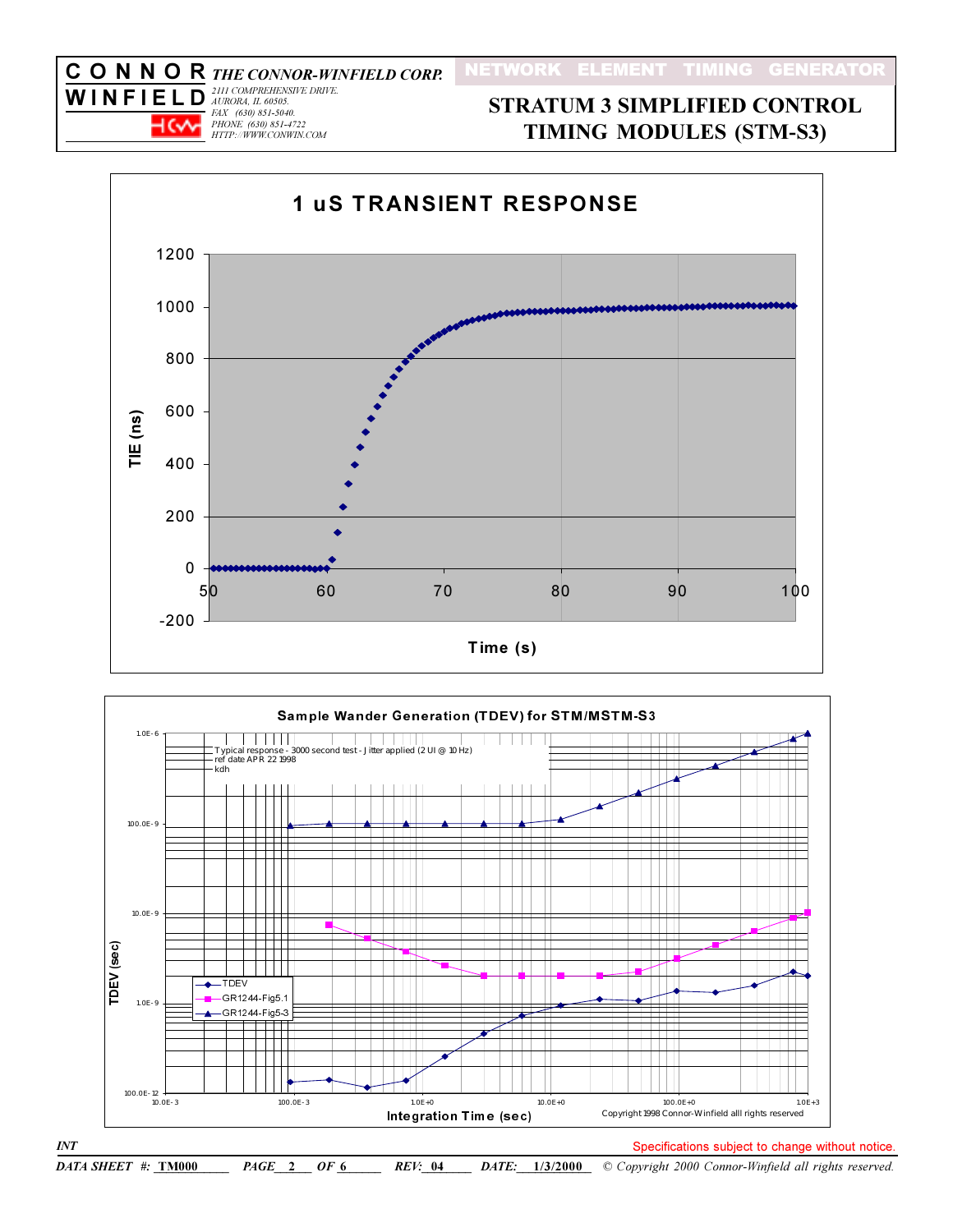## FAX (630) 851-5040.<br>PHONE (630) 851-4722  $H$ ( $\vee$ HTTP://WWW.CONWIN.COM

 $\emph{INT}$ 

## **STRATUM 3 SIMPLIFIED CONTROL TIMING MODULES (STM-S3)**





DATA SHEET #: TM000  $PAGE \quad 2 \quad OF \quad 6$ *REV*: 04 DATE: 1/3/2000 Copyright 2000 Connor-Winfield all rights reserved.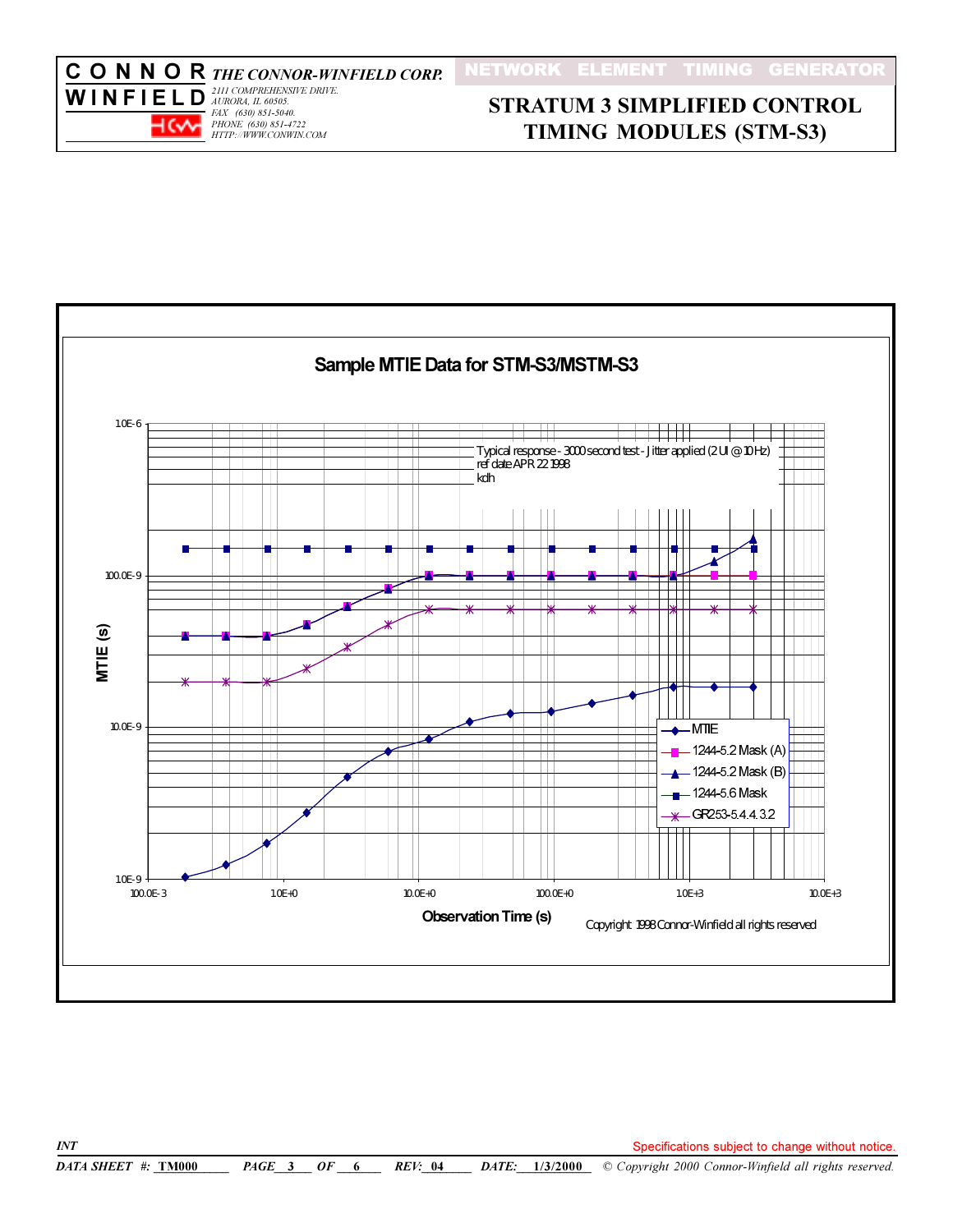

# **STRATUM 3 SIMPLIFIED CONTROL TIMING MODULES (STM-S3)**

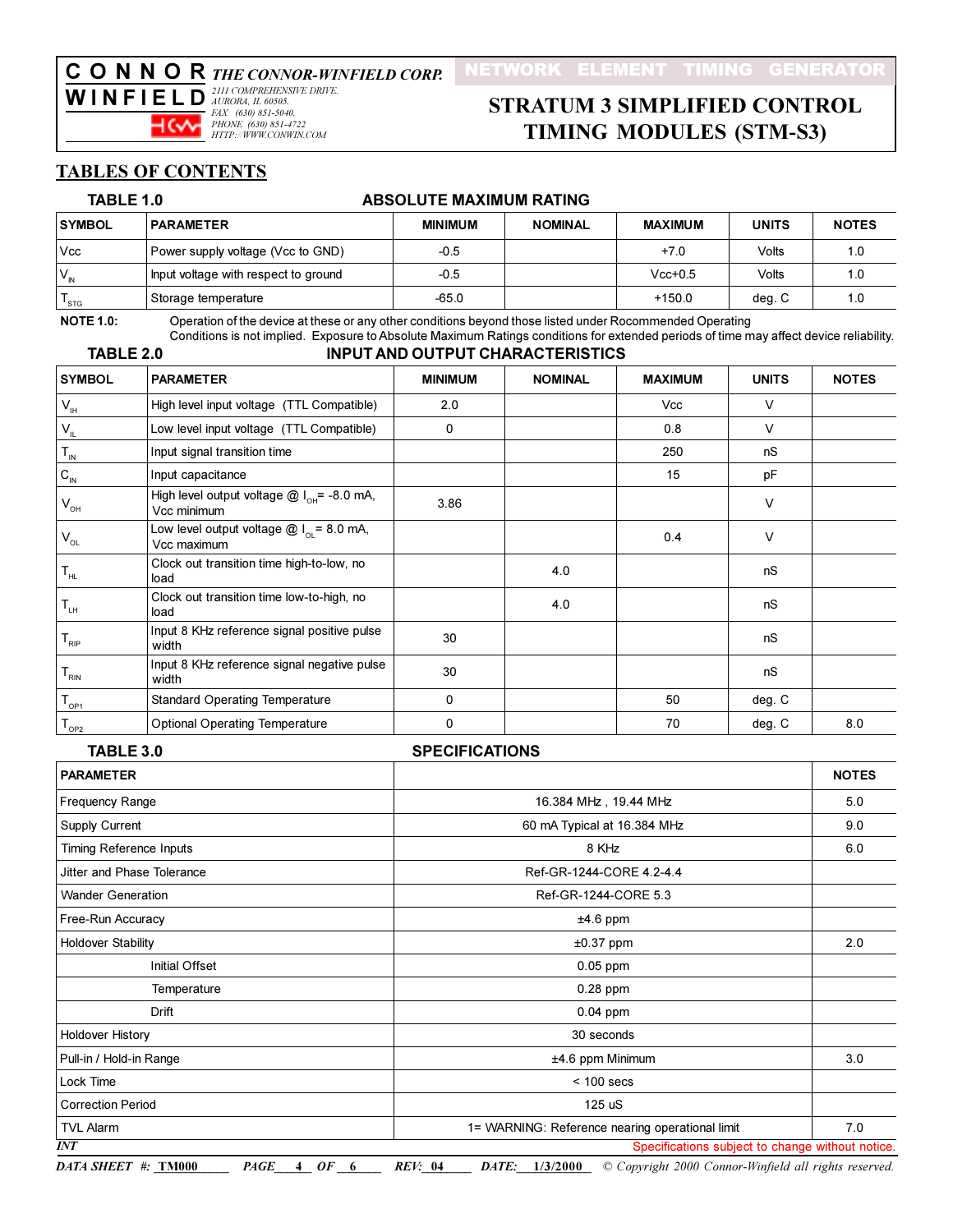# **CONNORTHE CONNOR-WINFIELD CORP.**<br>WINFIELD **2111 COMPREHENSIVE DRIVE.**

FAX (630) 851-5040.<br>PHONE (630) 851-4722 ⊣ে√⊣ HTTP://WWW.CONWIN.COM

# **STRATUM 3 SIMPLIFIED CONTROL TIMING MODULES (STM-S3)**

#### **TABLES OF CONTENTS**

| TABLE 1.0                   |                                                                                                          | <b>ABSOLUTE MAXIMUM RATING</b> |                |                |              |              |
|-----------------------------|----------------------------------------------------------------------------------------------------------|--------------------------------|----------------|----------------|--------------|--------------|
| <b>SYMBOL</b>               | <b>PARAMETER</b>                                                                                         | <b>MINIMUM</b>                 | <b>NOMINAL</b> | <b>MAXIMUM</b> | <b>UNITS</b> | <b>NOTES</b> |
| <b>Vcc</b>                  | Power supply voltage (Vcc to GND)                                                                        | $-0.5$                         |                | $+7.0$         | Volts        | 1.0          |
| $V_{N}$                     | Input voltage with respect to ground                                                                     | $-0.5$                         |                | $Vcc+0.5$      | Volts        | 1.0          |
| $\mathsf{T}_{\textsf{STG}}$ | Storage temperature                                                                                      | $-65.0$                        |                | $+150.0$       | deg. C       | 1.0          |
| <b>NOTE 1.0:</b>            | Operation of the device at these or any other conditions beyond those listed under Rocommended Operating |                                |                |                |              |              |

 $TAPI E 20$ 

#### Conditions is not implied. Exposure to Absolute Maximum Ratings conditions for extended periods of time may affect device reliability. **INPUT AND OUTPUT CHARACTERISTICS**

| 100 - 10<br>111 01 111 00 11 01 01 111 110 1100 |                                                                 |                |                |                |              |              |
|-------------------------------------------------|-----------------------------------------------------------------|----------------|----------------|----------------|--------------|--------------|
| <b>SYMBOL</b>                                   | <b>PARAMETER</b>                                                | <b>MINIMUM</b> | <b>NOMINAL</b> | <b>MAXIMUM</b> | <b>UNITS</b> | <b>NOTES</b> |
| $V_{\rm IH}$                                    | High level input voltage (TTL Compatible)                       | 2.0            |                | Vcc            | V            |              |
| $\mathsf{V}_{\mathsf{IL}}$                      | Low level input voltage (TTL Compatible)                        | 0              |                | 0.8            | $\vee$       |              |
| $\mathsf{T}_{\scriptscriptstyle\mathsf{IN}}$    | Input signal transition time                                    |                |                | 250            | nS           |              |
| $\mathtt{C}_{_{\mathsf{IN}}}$                   | Input capacitance                                               |                |                | 15             | pF           |              |
| $V_{\text{OH}}$                                 | High level output voltage $@I_{OH} = -8.0$ mA,<br>Vcc minimum   | 3.86           |                |                | V            |              |
| $\mathsf{V}_{\mathsf{OL}}$                      | Low level output voltage $@I_{\alpha} = 8.0$ mA,<br>Vcc maximum |                |                | 0.4            | $\vee$       |              |
| $\mathsf{T}_{\mathsf{HL}}$                      | Clock out transition time high-to-low, no<br>load               |                | 4.0            |                | nS           |              |
| $\mathsf{T}_{\scriptscriptstyle{\mathsf{LH}}}$  | Clock out transition time low-to-high, no<br>load               |                | 4.0            |                | nS           |              |
| ${\mathsf T}_{\textsf{\tiny RIP}}$              | Input 8 KHz reference signal positive pulse<br>width            | 30             |                |                | nS           |              |
| $\mathsf{I}_{\mathsf{RIN}}$                     | Input 8 KHz reference signal negative pulse<br>width            | 30             |                |                | nS           |              |
| $\mathsf{T}_{_{\mathsf{OP1}}}$                  | <b>Standard Operating Temperature</b>                           | 0              |                | 50             | deg. C       |              |
| ${\mathsf T}_{_{\mathsf{OP2}}}$                 | <b>Optional Operating Temperature</b>                           | 0              |                | 70             | deg. C       | 8.0          |

TABLE 3.0 **SPECIFICATIONS PARAMETER NOTES** Frequency Range 16.384 MHz, 19.44 MHz  $5.0$ **Supply Current** 60 mA Typical at 16.384 MHz  $9.0$  $6.0$ Timing Reference Inputs 8 KHz Ref-GR-1244-CORE 4.2-4.4 Jitter and Phase Tolerance **Wander Generation** Ref-GR-1244-CORE 5.3 Free-Run Accuracy  $±4.6$  ppm **Holdover Stability**  $2.0$  $±0.37$  ppm **Initial Offset** 0.05 ppm Temperature  $0.28$  ppm Drift  $0.04$  ppm **Holdover History** 30 seconds Pull-in / Hold-in Range ±4.6 ppm Minimum  $3.0$ Lock Time  $< 100$  secs **Correction Period** 125 uS **TVL Alarm** 1= WARNING: Reference nearing operational limit  $7.0$  $\overline{INT}$ Specifications subject to change without notice.

DATA SHEET #: TM000

 $PAGE_ 40F_6$ 

*REV*: 04 DATE: 1/3/2000 © Copyright 2000 Connor-Winfield all rights reserved.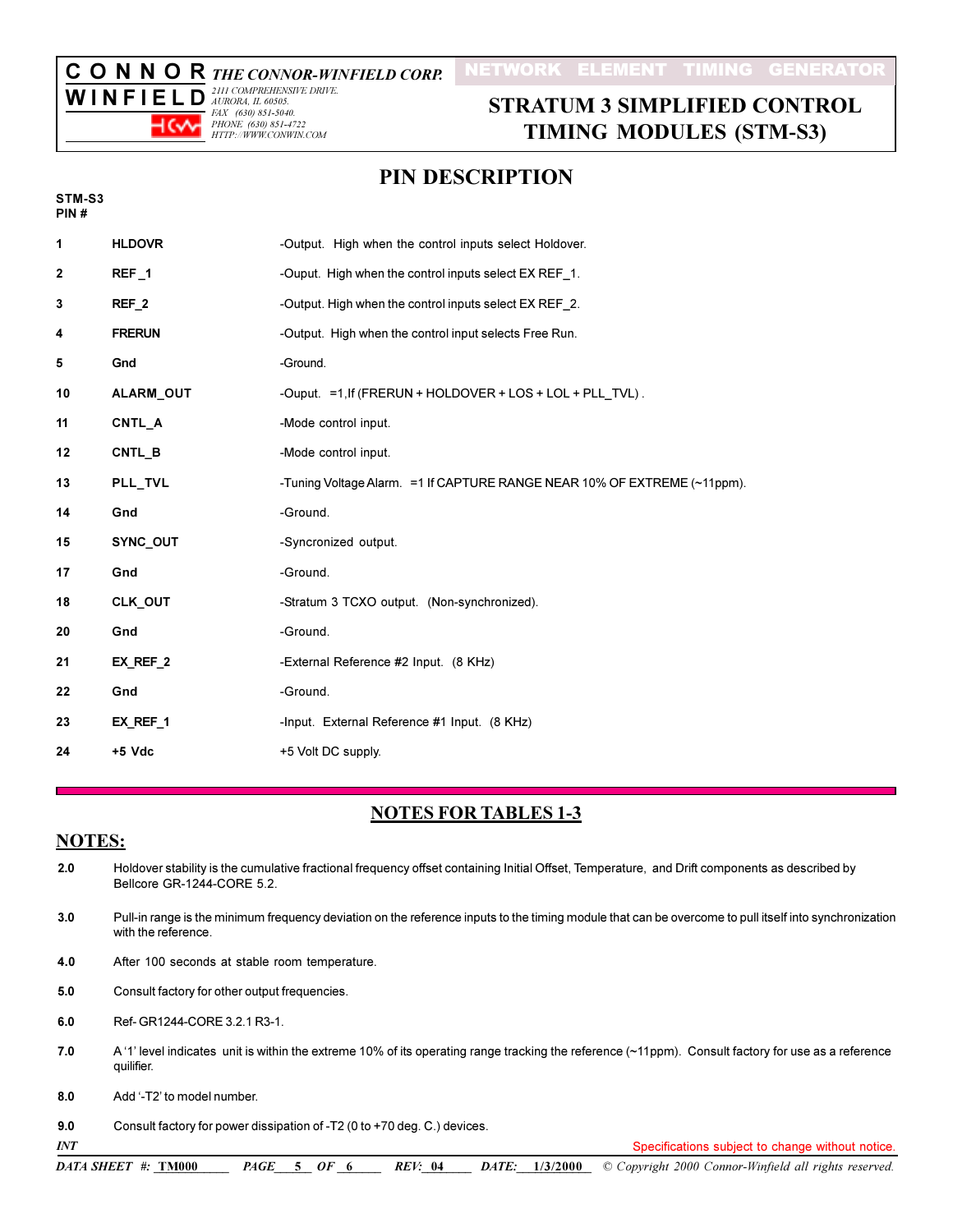#### NETWORK ELEMENT TIMING GENERATOR

**CONNOR** THE CONNOR-WINFIELD CORP.<br>WILLELEL D<sup>2111 COMPREHENSIVE DRIVE.</sup>

 $\overline{W}$  I N F I E L D  $^{2III \text{ COMPREHENS}}$ FAX (630) 851-5040.<br>PHONE (630) 851-4722 ⊣⇔∽ HTTP://WWW.CONWIN.COM

# **STRATUM 3 SIMPLIFIED CONTROL TIMING MODULES (STM-S3)**

## **PIN DESCRIPTION**

| т | TM- | i |
|---|-----|---|
| ₽ |     |   |

| 1  | <b>HLDOVR</b>    | -Output. High when the control inputs select Holdover.                    |
|----|------------------|---------------------------------------------------------------------------|
| 2  | REF <sub>1</sub> | -Ouput. High when the control inputs select EX REF 1.                     |
| 3  | REF <sub>2</sub> | -Output. High when the control inputs select EX REF 2.                    |
| 4  | <b>FRERUN</b>    | -Output. High when the control input selects Free Run.                    |
| 5  | Gnd              | -Ground.                                                                  |
| 10 | ALARM_OUT        | -Ouput. =1, If (FRERUN + HOLDOVER + LOS + LOL + PLL TVL).                 |
| 11 | CNTL A           | -Mode control input.                                                      |
| 12 | CNTL B           | -Mode control input.                                                      |
| 13 | PLL_TVL          | -Tuning Voltage Alarm. = 1 If CAPTURE RANGE NEAR 10% OF EXTREME (~11ppm). |
| 14 | Gnd              | -Ground.                                                                  |
| 15 | SYNC_OUT         | -Syncronized output.                                                      |
| 17 | Gnd              | -Ground.                                                                  |
| 18 | CLK_OUT          | -Stratum 3 TCXO output. (Non-synchronized).                               |
| 20 | Gnd              | -Ground.                                                                  |
| 21 | EX REF 2         | -External Reference #2 Input. (8 KHz)                                     |
| 22 | Gnd              | -Ground.                                                                  |
| 23 | EX REF 1         | -Input. External Reference #1 Input. (8 KHz)                              |
| 24 | $+5$ Vdc         | +5 Volt DC supply.                                                        |

## **NOTES FOR TABLES 1-3**

#### **NOTES:**

 $2.0$ Holdover stability is the cumulative fractional frequency offset containing Initial Offset, Temperature, and Drift components as described by Bellcore GR-1244-CORE 5.2. Pull-in range is the minimum frequency deviation on the reference inputs to the timing module that can be overcome to pull itself into synchronization  $3.0$ with the reference.  $4.0$ After 100 seconds at stable room temperature.  $5.0$ Consult factory for other output frequencies.  $6.0$ Ref- GR1244-CORE 3.2.1 R3-1.  $7.0$ A '1' level indicates unit is within the extreme 10% of its operating range tracking the reference (~11ppm). Consult factory for use as a reference quilifier. Add '-T2' to model number.  $8.0$ Consult factory for power dissipation of -T2 (0 to +70 deg. C.) devices.  $9.0$  $INT$ Specifications subject to change without notice. DATA SHEET #: TM000 DATE: 1/3/2000 Copyright 2000 Connor-Winfield all rights reserved.  $PAGE$  5 OF 6 *REV*: 04